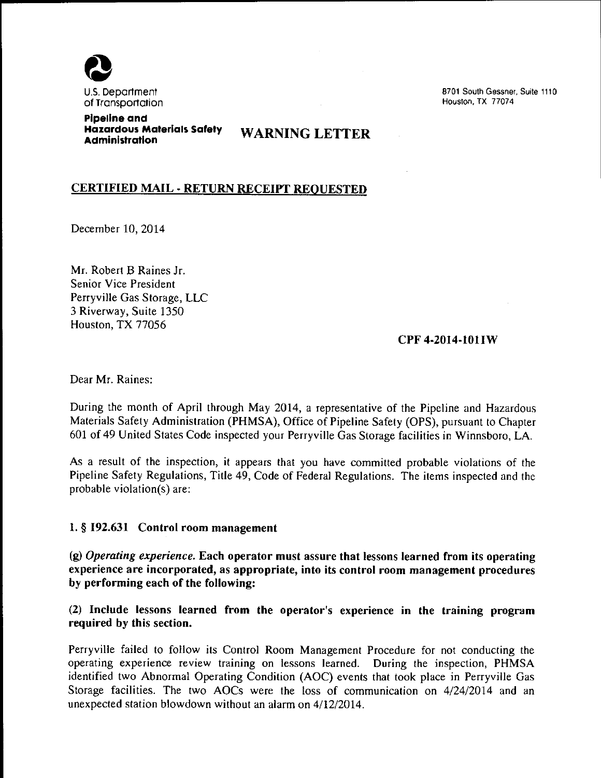

8701 South Gessner, Suite 1110 Houston. TX 77074

Pipeline and Hazardous Materials Safety WARNING LETTER Administration

## CERTIFIED MAIL· RETURN RECEIPT REQUESTED

December 10, 2014

Mr. Robert B Raines Jr. Senior Vice President Perryville Gas Storage, LLC 3 Riverway, Suite 1350 Houston, TX 77056

## CPF 4-2014-lOllW

Dear Mr. Raines:

During the month of April through May 2014, a representative of the Pipeline and Hazardous Materials Safety Administration (PHMSA), Office of Pipeline Safety (OPS), pursuant to Chapter 601 of 49 United States Code inspected your Perryville Gas Storage facilities in Winnsboro, LA.

As a result of the inspection, it appears that you have committed probable violations of the Pipeline Safety Regulations, Title 49, Code of Federal Regulations. The items inspected and the probable violation(s) are:

## 1. § 192.631 Control room management

(g) *Operating experience.* Each operator must assure that lessons learned from its operating experience are incorporated, as appropriate, into its control room management procedures by performing each of the following:

(2) Include lessons learned from the operator's experience in the training program required by this section.

Perryville failed to follow its Control Room Management Procedure for not conducting the operating experience review training on lessons learned. During the inspection, PHMSA identified two Abnormal Operating Condition (AOC) events that took place in Perryville Gas Storage facilities. The two AOCs were the loss of communication on 4/24/2014 and an unexpected station blowdown without an alarm on 4/12/2014.